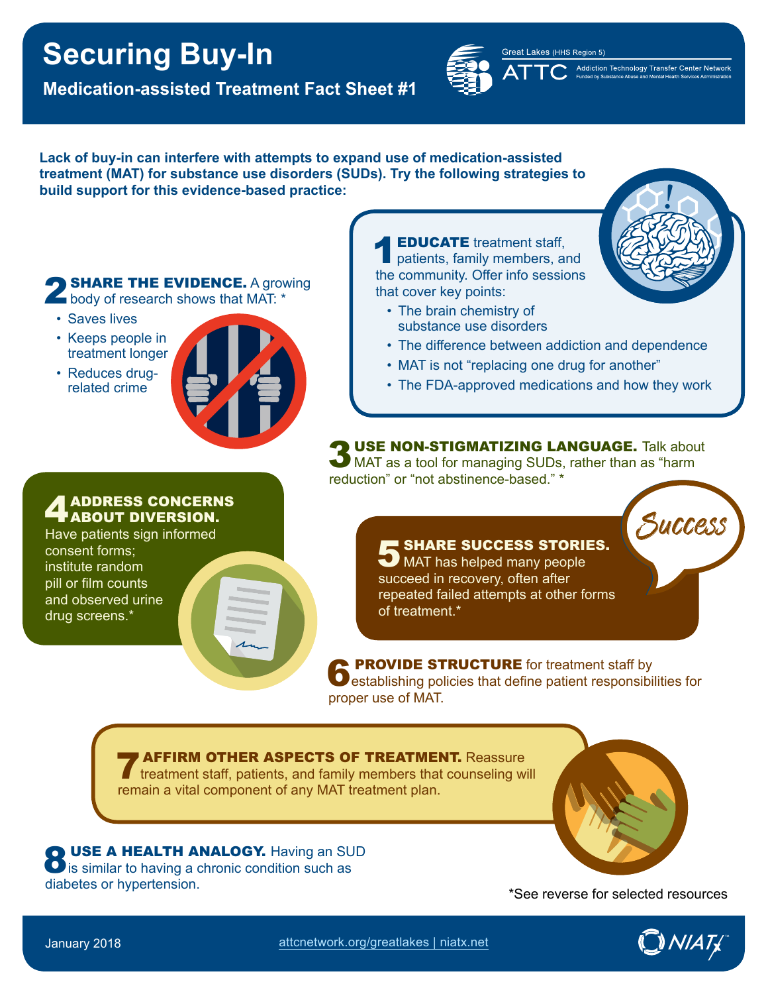# **Securing Buy-In**

**Medication-assisted Treatment Fact Sheet #1**



Great Lakes (HHS Region 5) Addiction Technology Transfer Center Network

**!**

**Success** 

#### **Lack of buy-in can interfere with attempts to expand use of medication-assisted treatment (MAT) for substance use disorders (SUDs). Try the following strategies to build support for this evidence-based practice:**

**SHARE THE EVIDENCE.** A growing **body of research shows that MAT:** \*

- Saves lives
- Keeps people in treatment longer
- Reduces drugrelated crime



**EDUCATE** treatment staff, patients, family members, and the community. Offer info sessions that cover key points:

- The brain chemistry of substance use disorders
- The difference between addiction and dependence
- MAT is not "replacing one drug for another"
- The FDA-approved medications and how they work

3 USE NON-STIGMATIZING LANGUAGE. Talk about<br>3 MAT as a tool for managing SUDs, rather than as "harm" reduction" or "not abstinence-based." \*

> **SHARE SUCCESS STORIES.** MAT has helped many people succeed in recovery, often after repeated failed attempts at other forms of treatment.\*

**6 PROVIDE STRUCTURE** for treatment staff by establishing policies that define patient responsibilities for proper use of MAT.

**7 AFFIRM OTHER ASPECTS OF TREATMENT.** Reassure treatment staff, patients, and family members that counseling will remain a vital component of any MAT treatment plan.

**8 USE A HEALTH ANALOGY.** Having an SUD is similar to having a chronic condition such as diabetes or hypertension.<br>
Alternative structures  $\text{``See reverse for selected resources}$ 



## ADDRESS CONCERNS ABOUT DIVERSION.

Have patients sign informed consent forms; institute random pill or film counts and observed urine drug screens.\*

January 2018 [attcnetwork.org/greatlakes](http://attcnetwork.org/greatlakes) | [niatx.net](http://niatx.net) [TM](http://niatx.net)